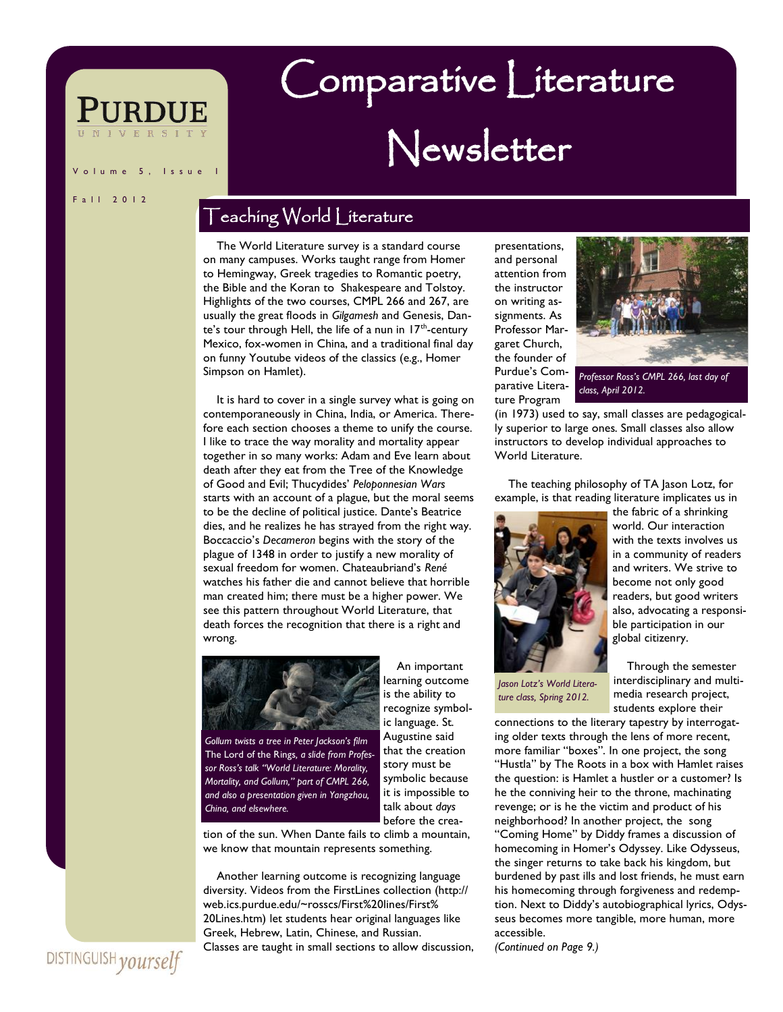#### l s s u e

#### F a | | 2 0 | 2

## Teaching World Literature

 The World Literature survey is a standard course on many campuses. Works taught range from Homer to Hemingway, Greek tragedies to Romantic poetry, the Bible and the Koran to Shakespeare and Tolstoy. Highlights of the two courses, CMPL 266 and 267, are usually the great floods in *Gilgamesh* and Genesis, Dante's tour through Hell, the life of a nun in  $17<sup>th</sup>$ -century Mexico, fox-women in China, and a traditional final day on funny Youtube videos of the classics (e.g., Homer Simpson on Hamlet).

 It is hard to cover in a single survey what is going on contemporaneously in China, India, or America. Therefore each section chooses a theme to unify the course. I like to trace the way morality and mortality appear together in so many works: Adam and Eve learn about death after they eat from the Tree of the Knowledge of Good and Evil; Thucydides' *Peloponnesian Wars* starts with an account of a plague, but the moral seems to be the decline of political justice. Dante's Beatrice dies, and he realizes he has strayed from the right way. Boccaccio's *Decameron* begins with the story of the plague of 1348 in order to justify a new morality of sexual freedom for women. Chateaubriand's *René* watches his father die and cannot believe that horrible man created him; there must be a higher power. We see this pattern throughout World Literature, that death forces the recognition that there is a right and wrong.



*Gollum twists a tree in Peter Jackson's film*  The Lord of the Rings*, a slide from Professor Ross's talk "World Literature: Morality, Mortality, and Gollum," part of CMPL 266, and also a presentation given in Yangzhou, China, and elsewhere.*

learning outcome is the ability to recognize symbolic language. St. Augustine said that the creation story must be symbolic because it is impossible to talk about *days* before the crea-

An important

tion of the sun. When Dante fails to climb a mountain, we know that mountain represents something.

 Another learning outcome is recognizing language diversity. Videos from the FirstLines collection (http:// web.ics.purdue.edu/~rosscs/First%20lines/First% 20Lines.htm) let students hear original languages like Greek, Hebrew, Latin, Chinese, and Russian. Classes are taught in small sections to allow discussion, presentations, and personal attention from the instructor on writing assignments. As Professor Margaret Church, the founder of Purdue's Comparative Literature Program

Comparative Literature

Newsletter



*Professor Ross's CMPL 266, last day of class, April 2012.*

(in 1973) used to say, small classes are pedagogically superior to large ones. Small classes also allow instructors to develop individual approaches to World Literature.

 The teaching philosophy of TA Jason Lotz, for example, is that reading literature implicates us in



with the texts involves us in a community of readers and writers. We strive to become not only good readers, but good writers also, advocating a responsible participation in our global citizenry.

the fabric of a shrinking world. Our interaction

*Jason Lotz's World Literature class, Spring 2012.*

 Through the semester interdisciplinary and multimedia research project, students explore their

connections to the literary tapestry by interrogating older texts through the lens of more recent, more familiar "boxes". In one project, the song "Hustla" by The Roots in a box with Hamlet raises the question: is Hamlet a hustler or a customer? Is he the conniving heir to the throne, machinating revenge; or is he the victim and product of his neighborhood? In another project, the song "Coming Home" by Diddy frames a discussion of homecoming in Homer's Odyssey. Like Odysseus, the singer returns to take back his kingdom, but burdened by past ills and lost friends, he must earn his homecoming through forgiveness and redemption. Next to Diddy's autobiographical lyrics, Odysseus becomes more tangible, more human, more accessible.

*(Continued on Page 9.)*

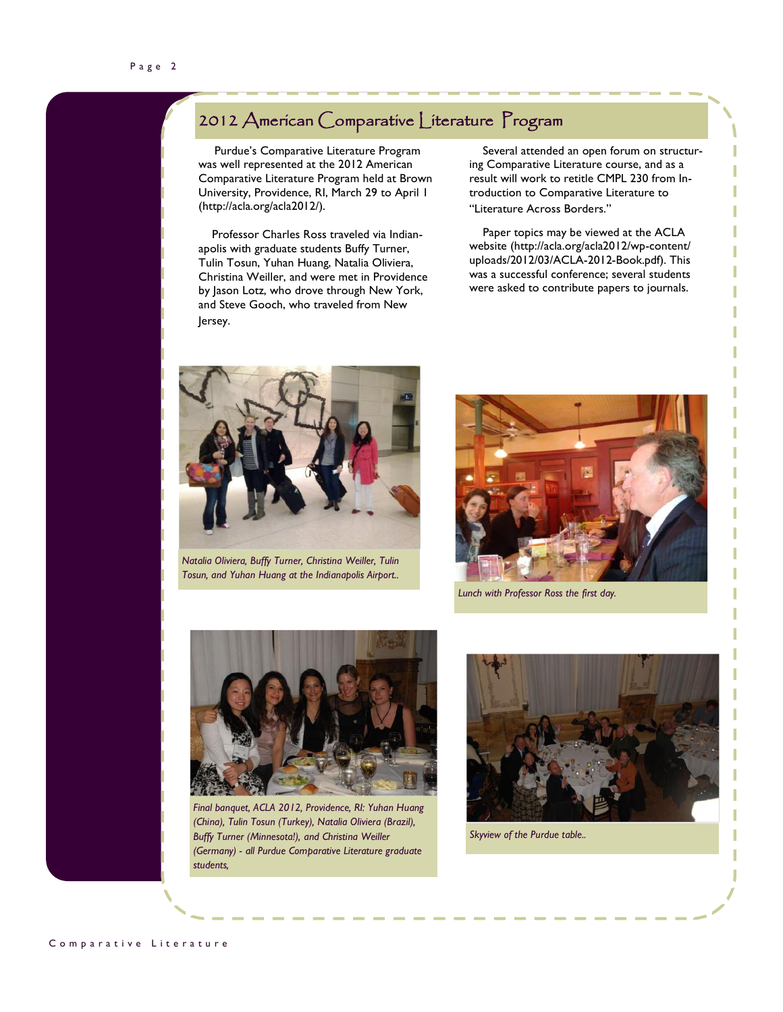#### 2012 American Comparative Literature Program

 Purdue's Comparative Literature Program was well represented at the 2012 American Comparative Literature Program held at Brown University, Providence, RI, March 29 to April 1 (http://acla.org/acla2012/).

 Professor Charles Ross traveled via Indianapolis with graduate students Buffy Turner, Tulin Tosun, Yuhan Huang, Natalia Oliviera, Christina Weiller, and were met in Providence by Jason Lotz, who drove through New York, and Steve Gooch, who traveled from New Jersey.

 Several attended an open forum on structuring Comparative Literature course, and as a result will work to retitle CMPL 230 from Introduction to Comparative Literature to "Literature Across Borders."

 Paper topics may be viewed at the ACLA website (http://acla.org/acla2012/wp-content/ uploads/2012/03/ACLA-2012-Book.pdf). This was a successful conference; several students were asked to contribute papers to journals.



*Natalia Oliviera, Buffy Turner, Christina Weiller, Tulin Tosun, and Yuhan Huang at the Indianapolis Airport..*



*Lunch with Professor Ross the first day.*



*Final banquet, ACLA 2012, Providence, RI: Yuhan Huang (China), Tulin Tosun (Turkey), Natalia Oliviera (Brazil), Buffy Turner (Minnesota!), and Christina Weiller (Germany) - all Purdue Comparative Literature graduate students,*



*Skyview of the Purdue table..*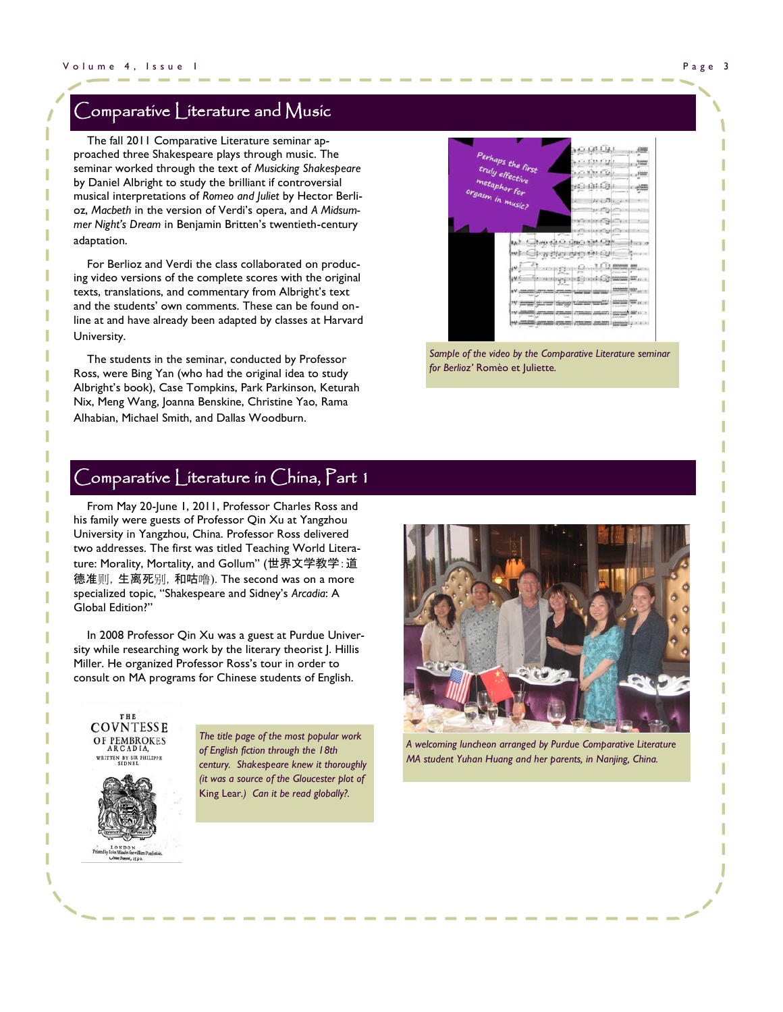#### Comparative Literature and  $M$ usic

 The fall 2011 Comparative Literature seminar approached three Shakespeare plays through music. The seminar worked through the text of *Musicking Shakespeare* by Daniel Albright to study the brilliant if controversial musical interpretations of *Romeo and Juliet* by Hector Berlioz, *Macbeth* in the version of Verdi's opera, and *A Midsummer Night's Dream* in Benjamin Britten's twentieth-century adaptation.

 For Berlioz and Verdi the class collaborated on producing video versions of the complete scores with the original texts, translations, and commentary from Albright's text and the students' own comments. These can be found online at and have already been adapted by classes at Harvard University.

 The students in the seminar, conducted by Professor Ross, were Bing Yan (who had the original idea to study Albright's book), Case Tompkins, Park Parkinson, Keturah Nix, Meng Wang, Joanna Benskine, Christine Yao, Rama Alhabian, Michael Smith, and Dallas Woodburn.



Sample of the video by the Comparative Literature seminar *for Berlioz'* Romèo et Juliette*.*

#### $\bigcup$ omparative  $\bigcup$ iterature in  $\bigcap$ hina,  $\bigcap$ art 1

 From May 20-June 1, 2011, Professor Charles Ross and his family were guests of Professor Qin Xu at Yangzhou University in Yangzhou, China. Professor Ross delivered two addresses. The first was titled Teaching World Literature: Morality, Mortality, and Gollum" (世界文学教学:道 德准则,生离死别,和咕噜). The second was on a more specialized topic, "Shakespeare and Sidney's *Arcadia*: A Global Edition?"

 In 2008 Professor Qin Xu was a guest at Purdue University while researching work by the literary theorist J. Hillis Miller. He organized Professor Ross's tour in order to consult on MA programs for Chinese students of English.





*The title page of the most popular work of English fiction through the 18th century. Shakespeare knew it thoroughly (it was a source of the Gloucester plot of*  King Lear*.) Can it be read globally?.*



*A welcoming luncheon arranged by Purdue Comparative Literature MA student Yuhan Huang and her parents, in Nanjing, China.*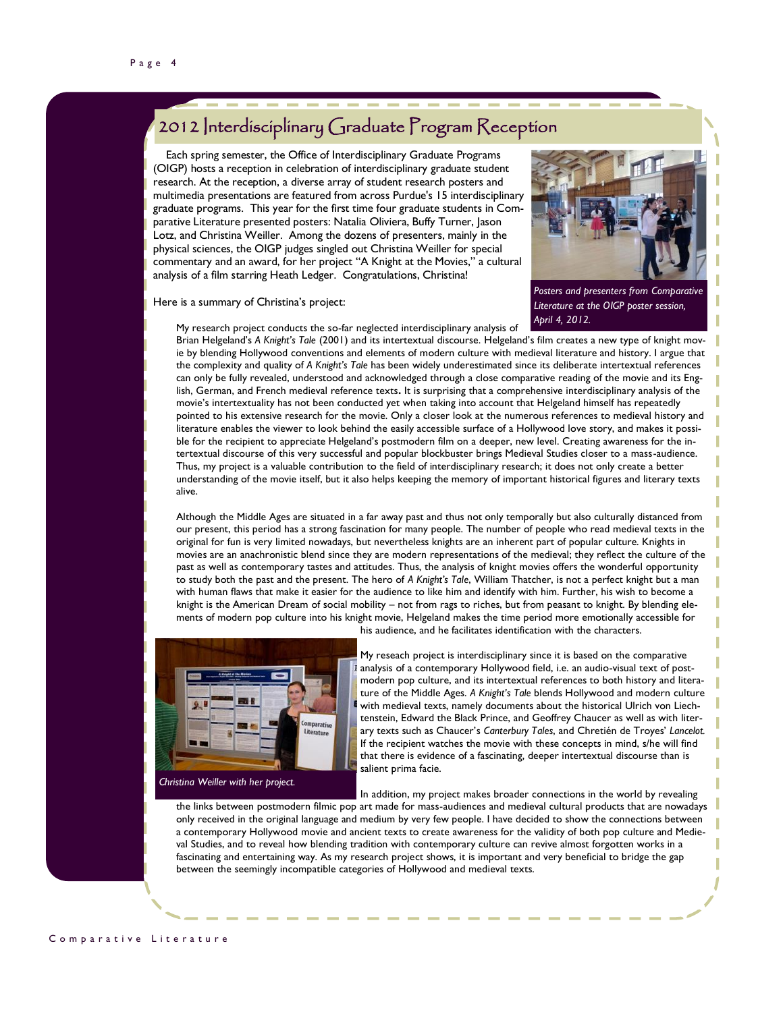## 2012 Interdisciplinary Graduate Program Reception

 Each spring semester, the Office of Interdisciplinary Graduate Programs (OIGP) hosts a reception in celebration of interdisciplinary graduate student research. At the reception, a diverse array of student research posters and multimedia presentations are featured from across Purdue's 15 interdisciplinary graduate programs. This year for the first time four graduate students in Comparative Literature presented posters: Natalia Oliviera, Buffy Turner, Jason Lotz, and Christina Weiller. Among the dozens of presenters, mainly in the physical sciences, the OIGP judges singled out Christina Weiller for special commentary and an award, for her project "A Knight at the Movies," a cultural analysis of a film starring Heath Ledger. Congratulations, Christina!



Here is a summary of Christina's project:

My research project conducts the so-far neglected interdisciplinary analysis of

*Posters and presenters from Comparative Literature at the OIGP poster session, April 4, 2012.*

Brian Helgeland's *A Knight's Tale* (2001) and its intertextual discourse. Helgeland's film creates a new type of knight movie by blending Hollywood conventions and elements of modern culture with medieval literature and history. I argue that the complexity and quality of *A Knight's Tale* has been widely underestimated since its deliberate intertextual references can only be fully revealed, understood and acknowledged through a close comparative reading of the movie and its English, German, and French medieval reference texts**.** It is surprising that a comprehensive interdisciplinary analysis of the movie's intertextuality has not been conducted yet when taking into account that Helgeland himself has repeatedly pointed to his extensive research for the movie. Only a closer look at the numerous references to medieval history and literature enables the viewer to look behind the easily accessible surface of a Hollywood love story, and makes it possible for the recipient to appreciate Helgeland's postmodern film on a deeper, new level. Creating awareness for the intertextual discourse of this very successful and popular blockbuster brings Medieval Studies closer to a mass-audience. Thus, my project is a valuable contribution to the field of interdisciplinary research; it does not only create a better understanding of the movie itself, but it also helps keeping the memory of important historical figures and literary texts alive.

Although the Middle Ages are situated in a far away past and thus not only temporally but also culturally distanced from our present, this period has a strong fascination for many people. The number of people who read medieval texts in the original for fun is very limited nowadays, but nevertheless knights are an inherent part of popular culture. Knights in movies are an anachronistic blend since they are modern representations of the medieval; they reflect the culture of the past as well as contemporary tastes and attitudes. Thus, the analysis of knight movies offers the wonderful opportunity to study both the past and the present. The hero of *A Knight's Tale*, William Thatcher, is not a perfect knight but a man with human flaws that make it easier for the audience to like him and identify with him. Further, his wish to become a knight is the American Dream of social mobility – not from rags to riches, but from peasant to knight. By blending elements of modern pop culture into his knight movie, Helgeland makes the time period more emotionally accessible for



*Christina Weiller with her project.*

his audience, and he facilitates identification with the characters.

My reseach project is interdisciplinary since it is based on the comparative analysis of a contemporary Hollywood field, i.e. an audio-visual text of postmodern pop culture, and its intertextual references to both history and literature of the Middle Ages. *A Knight's Tale* blends Hollywood and modern culture with medieval texts, namely documents about the historical Ulrich von Liechtenstein, Edward the Black Prince, and Geoffrey Chaucer as well as with literary texts such as Chaucer's *Canterbury Tales*, and Chretién de Troyes' *Lancelot.*  If the recipient watches the movie with these concepts in mind, s/he will find that there is evidence of a fascinating, deeper intertextual discourse than is salient prima facie.

In addition, my project makes broader connections in the world by revealing the links between postmodern filmic pop art made for mass-audiences and medieval cultural products that are nowadays only received in the original language and medium by very few people. I have decided to show the connections between a contemporary Hollywood movie and ancient texts to create awareness for the validity of both pop culture and Medieval Studies, and to reveal how blending tradition with contemporary culture can revive almost forgotten works in a fascinating and entertaining way. As my research project shows, it is important and very beneficial to bridge the gap between the seemingly incompatible categories of Hollywood and medieval texts.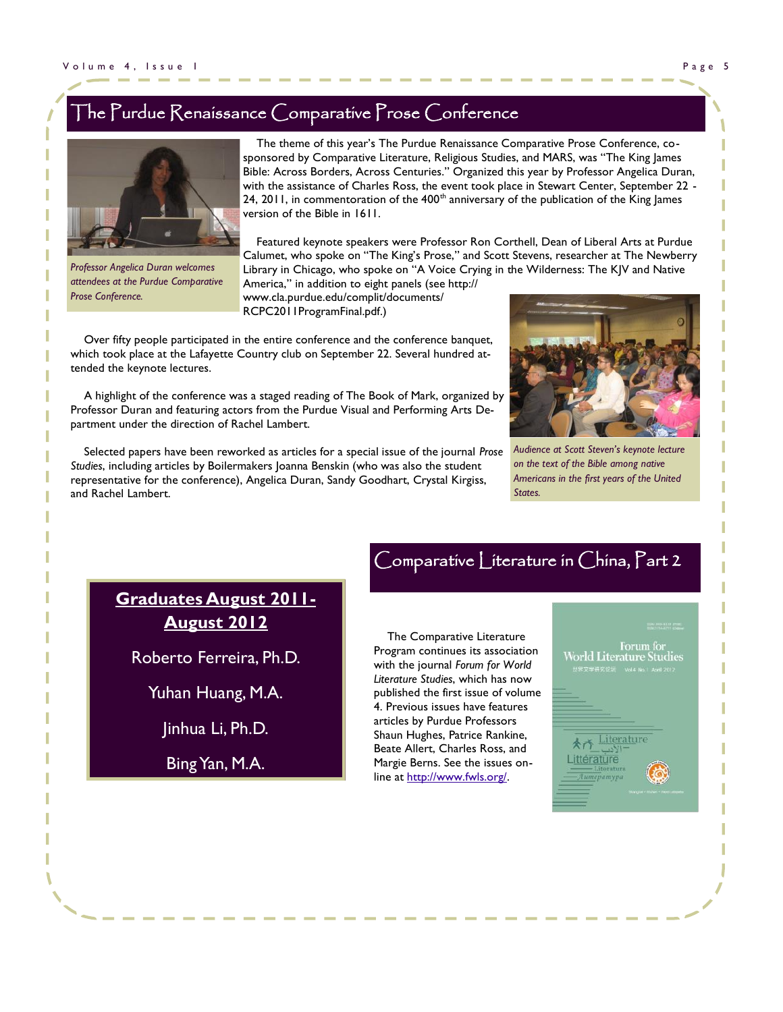## The Purdue Renaissance Comparative Prose Conference



 The theme of this year's The Purdue Renaissance Comparative Prose Conference, cosponsored by Comparative Literature, Religious Studies, and MARS, was "The King James Bible: Across Borders, Across Centuries." Organized this year by Professor Angelica Duran, with the assistance of Charles Ross, the event took place in Stewart Center, September 22 - 24, 2011, in commentoration of the  $400<sup>th</sup>$  anniversary of the publication of the King James version of the Bible in 1611.

 Featured keynote speakers were Professor Ron Corthell, Dean of Liberal Arts at Purdue Calumet, who spoke on "The King's Prose," and Scott Stevens, researcher at The Newberry Library in Chicago, who spoke on "A Voice Crying in the Wilderness: The KJV and Native

*Professor Angelica Duran welcomes attendees at the Purdue Comparative Prose Conference.*

America," in addition to eight panels (see http:// www.cla.purdue.edu/complit/documents/ RCPC2011ProgramFinal.pdf.)

 Over fifty people participated in the entire conference and the conference banquet, which took place at the Lafayette Country club on September 22. Several hundred attended the keynote lectures.

 A highlight of the conference was a staged reading of The Book of Mark, organized by Professor Duran and featuring actors from the Purdue Visual and Performing Arts Department under the direction of Rachel Lambert.

 Selected papers have been reworked as articles for a special issue of the journal *Prose Studies*, including articles by Boilermakers Joanna Benskin (who was also the student representative for the conference), Angelica Duran, Sandy Goodhart, Crystal Kirgiss, and Rachel Lambert.



*Audience at Scott Steven's keynote lecture on the text of the Bible among native Americans in the first years of the United States.*

**Graduates August 2011- August 2012**

Roberto Ferreira, Ph.D.

Yuhan Huang, M.A.

Jinhua Li, Ph.D.

Bing Yan, M.A.

# Comparative Literature in China, Part 2

 The Comparative Literature Program continues its association with the journal *Forum for World Literature Studies*, which has now published the first issue of volume 4. Previous issues have features articles by Purdue Professors Shaun Hughes, Patrice Rankine, Beate Allert, Charles Ross, and Margie Berns. See the issues online at [http://www.fwls.org/.](http://www.fwls.org/)

Forum for **World Literature Studies** 

**太子 Literature** Littérature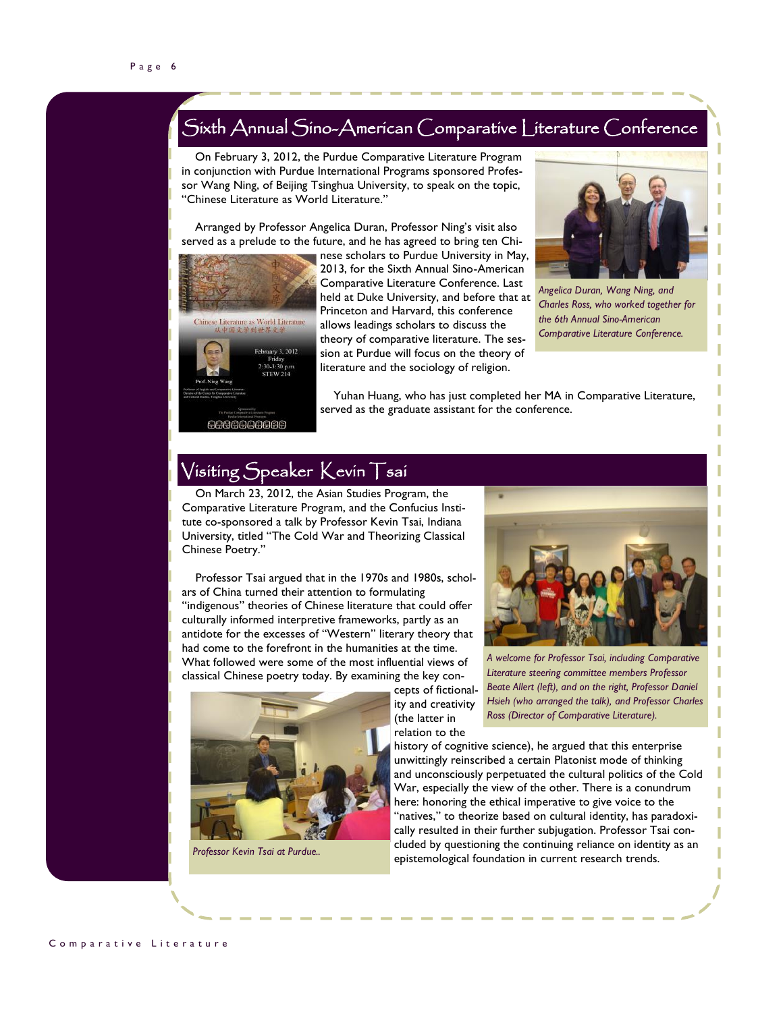## Sixth Annual Sino-American Comparative Literature Conference

 On February 3, 2012, the Purdue Comparative Literature Program in conjunction with Purdue International Programs sponsored Professor Wang Ning, of Beijing Tsinghua University, to speak on the topic, "Chinese Literature as World Literature."

 Arranged by Professor Angelica Duran, Professor Ning's visit also served as a prelude to the future, and he has agreed to bring ten Chi-



nese scholars to Purdue University in May, 2013, for the Sixth Annual Sino-American Comparative Literature Conference. Last held at Duke University, and before that at Princeton and Harvard, this conference allows leadings scholars to discuss the theory of comparative literature. The session at Purdue will focus on the theory of literature and the sociology of religion.



*Angelica Duran, Wang Ning, and Charles Ross, who worked together for the 6th Annual Sino-American Comparative Literature Conference.*

 Yuhan Huang, who has just completed her MA in Comparative Literature, served as the graduate assistant for the conference.

## Visiting Speaker Kevin Tsai

 On March 23, 2012, the Asian Studies Program, the Comparative Literature Program, and the Confucius Institute co-sponsored a talk by Professor Kevin Tsai, Indiana University, titled "The Cold War and Theorizing Classical Chinese Poetry."

 Professor Tsai argued that in the 1970s and 1980s, scholars of China turned their attention to formulating "indigenous" theories of Chinese literature that could offer culturally informed interpretive frameworks, partly as an antidote for the excesses of "Western" literary theory that had come to the forefront in the humanities at the time. What followed were some of the most influential views of classical Chinese poetry today. By examining the key con-



*Professor Kevin Tsai at Purdue..*



*A welcome for Professor Tsai, including Comparative Literature steering committee members Professor Beate Allert (left), and on the right, Professor Daniel Hsieh (who arranged the talk), and Professor Charles Ross (Director of Comparative Literature).*

history of cognitive science), he argued that this enterprise unwittingly reinscribed a certain Platonist mode of thinking and unconsciously perpetuated the cultural politics of the Cold War, especially the view of the other. There is a conundrum here: honoring the ethical imperative to give voice to the 'natives," to theorize based on cultural identity, has paradoxically resulted in their further subjugation. Professor Tsai concluded by questioning the continuing reliance on identity as an epistemological foundation in current research trends.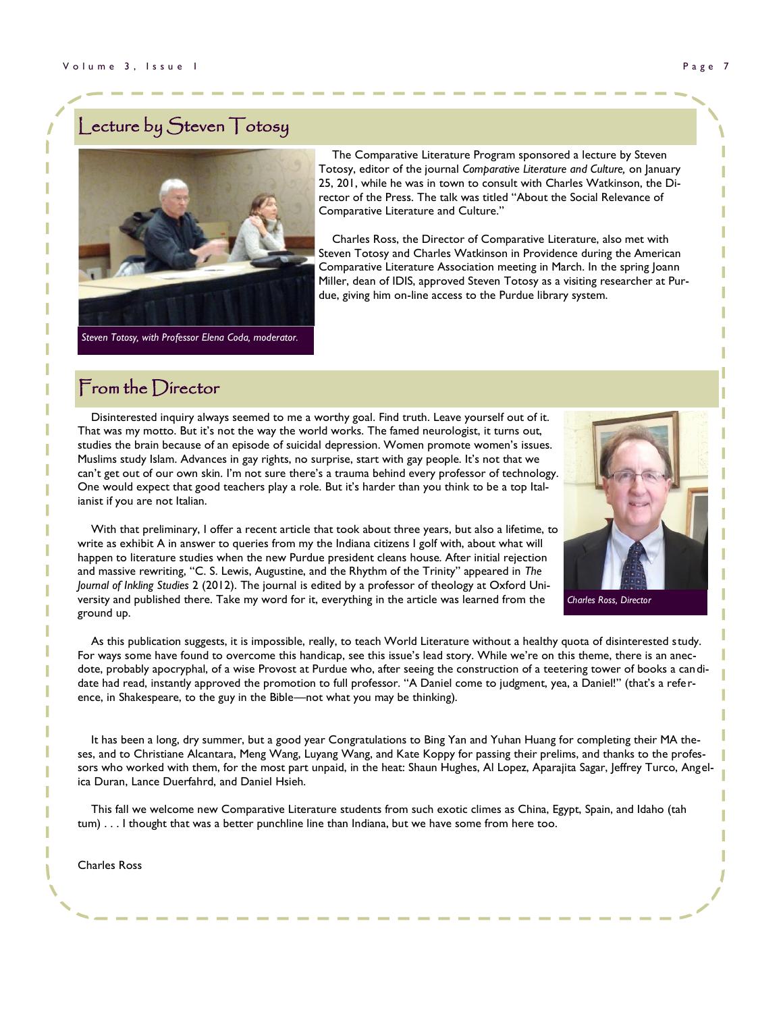## Lecture by Steven Totosy



 The Comparative Literature Program sponsored a lecture by Steven Totosy, editor of the journal *Comparative Literature and Culture,* on January 25, 201, while he was in town to consult with Charles Watkinson, the Director of the Press. The talk was titled "About the Social Relevance of Comparative Literature and Culture."

 Charles Ross, the Director of Comparative Literature, also met with Steven Totosy and Charles Watkinson in Providence during the American Comparative Literature Association meeting in March. In the spring Joann Miller, dean of IDIS, approved Steven Totosy as a visiting researcher at Purdue, giving him on-line access to the Purdue library system.

#### From the Director

 Disinterested inquiry always seemed to me a worthy goal. Find truth. Leave yourself out of it. That was my motto. But it's not the way the world works. The famed neurologist, it turns out, studies the brain because of an episode of suicidal depression. Women promote women's issues. Muslims study Islam. Advances in gay rights, no surprise, start with gay people. It's not that we can't get out of our own skin. I'm not sure there's a trauma behind every professor of technology. One would expect that good teachers play a role. But it's harder than you think to be a top Italianist if you are not Italian.



*Charles Ross, Director*

 With that preliminary, I offer a recent article that took about three years, but also a lifetime, to write as exhibit A in answer to queries from my the Indiana citizens I golf with, about what will happen to literature studies when the new Purdue president cleans house. After initial rejection and massive rewriting, "C. S. Lewis, Augustine, and the Rhythm of the Trinity" appeared in *The Journal of Inkling Studies* 2 (2012). The journal is edited by a professor of theology at Oxford University and published there. Take my word for it, everything in the article was learned from the ground up.

 As this publication suggests, it is impossible, really, to teach World Literature without a healthy quota of disinterested study. For ways some have found to overcome this handicap, see this issue's lead story. While we're on this theme, there is an anecdote, probably apocryphal, of a wise Provost at Purdue who, after seeing the construction of a teetering tower of books a candidate had read, instantly approved the promotion to full professor. "A Daniel come to judgment, yea, a Daniel!" (that's a reference, in Shakespeare, to the guy in the Bible—not what you may be thinking).

 It has been a long, dry summer, but a good year Congratulations to Bing Yan and Yuhan Huang for completing their MA theses, and to Christiane Alcantara, Meng Wang, Luyang Wang, and Kate Koppy for passing their prelims, and thanks to the professors who worked with them, for the most part unpaid, in the heat: Shaun Hughes, Al Lopez, Aparajita Sagar, Jeffrey Turco, Angelica Duran, Lance Duerfahrd, and Daniel Hsieh.

 This fall we welcome new Comparative Literature students from such exotic climes as China, Egypt, Spain, and Idaho (tah tum) . . . I thought that was a better punchline line than Indiana, but we have some from here too.

Charles Ross